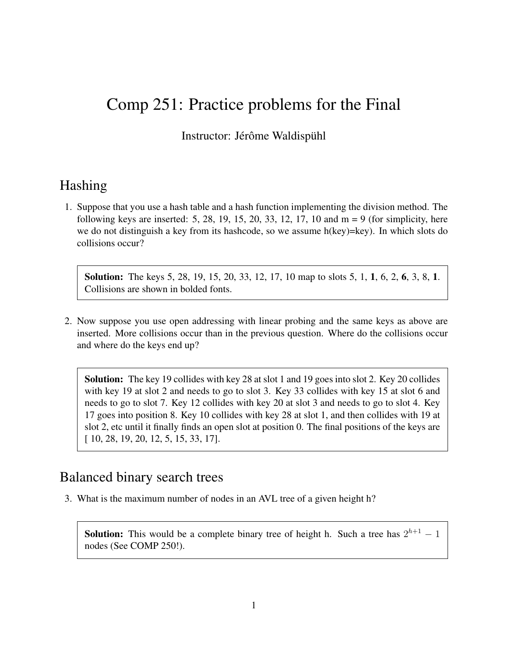# Comp 251: Practice problems for the Final

Instructor: Jérôme Waldispühl

#### Hashing

1. Suppose that you use a hash table and a hash function implementing the division method. The following keys are inserted:  $5, 28, 19, 15, 20, 33, 12, 17, 10$  and  $m = 9$  (for simplicity, here we do not distinguish a key from its hashcode, so we assume h(key)=key). In which slots do collisions occur?

Solution: The keys 5, 28, 19, 15, 20, 33, 12, 17, 10 map to slots 5, 1, 1, 6, 2, 6, 3, 8, 1. Collisions are shown in bolded fonts.

2. Now suppose you use open addressing with linear probing and the same keys as above are inserted. More collisions occur than in the previous question. Where do the collisions occur and where do the keys end up?

Solution: The key 19 collides with key 28 at slot 1 and 19 goes into slot 2. Key 20 collides with key 19 at slot 2 and needs to go to slot 3. Key 33 collides with key 15 at slot 6 and needs to go to slot 7. Key 12 collides with key 20 at slot 3 and needs to go to slot 4. Key 17 goes into position 8. Key 10 collides with key 28 at slot 1, and then collides with 19 at slot 2, etc until it finally finds an open slot at position 0. The final positions of the keys are [ 10, 28, 19, 20, 12, 5, 15, 33, 17].

#### Balanced binary search trees

3. What is the maximum number of nodes in an AVL tree of a given height h?

**Solution:** This would be a complete binary tree of height h. Such a tree has  $2^{h+1} - 1$ nodes (See COMP 250!).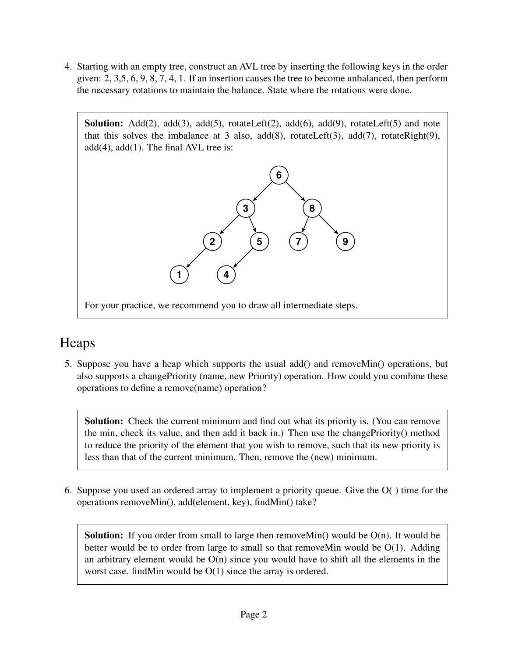4. Starting with an empty tree, construct an AVL tree by inserting the following keys in the order given: 2, 3,5, 6, 9, 8, 7, 4, 1. If an insertion causes the tree to become unbalanced, then perform the necessary rotations to maintain the balance. State where the rotations were done.

**Solution:** Add(2), add(3), add(5), rotateLeft(2), add(6), add(9), rotateLeft(5) and note that this solves the imbalance at 3 also,  $add(8)$ ,  $rotateLeft(3)$ ,  $add(7)$ ,  $rotateRight(9)$ ,  $add(4)$ ,  $add(1)$ . The final AVL tree is:



## Heaps

5. Suppose you have a heap which supports the usual add() and removeMin() operations, but also supports a changePriority (name, new Priority) operation. How could you combine these operations to define a remove(name) operation?

Solution: Check the current minimum and find out what its priority is. (You can remove the min, check its value, and then add it back in.) Then use the changePriority() method to reduce the priority of the element that you wish to remove, such that its new priority is less than that of the current minimum. Then, remove the (new) minimum.

6. Suppose you used an ordered array to implement a priority queue. Give the O( ) time for the operations removeMin(), add(element, key), findMin() take?

**Solution:** If you order from small to large then remove Min() would be  $O(n)$ . It would be better would be to order from large to small so that remove Min would be  $O(1)$ . Adding an arbitrary element would be  $O(n)$  since you would have to shift all the elements in the worst case. findMin would be O(1) since the array is ordered.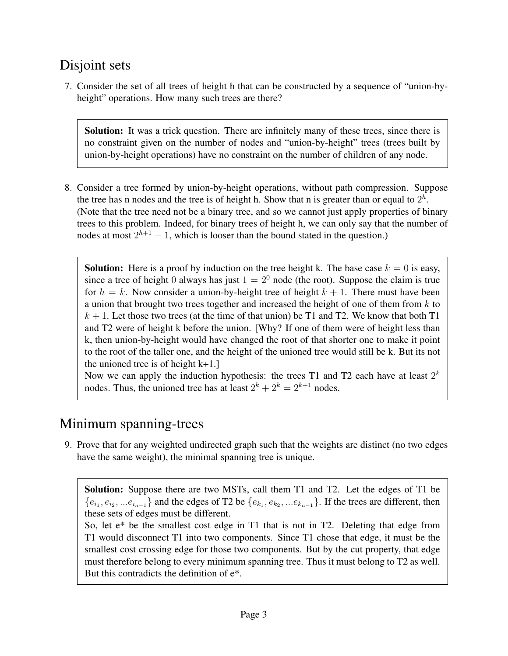## Disjoint sets

7. Consider the set of all trees of height h that can be constructed by a sequence of "union-byheight" operations. How many such trees are there?

Solution: It was a trick question. There are infinitely many of these trees, since there is no constraint given on the number of nodes and "union-by-height" trees (trees built by union-by-height operations) have no constraint on the number of children of any node.

8. Consider a tree formed by union-by-height operations, without path compression. Suppose the tree has n nodes and the tree is of height h. Show that n is greater than or equal to  $2<sup>h</sup>$ . (Note that the tree need not be a binary tree, and so we cannot just apply properties of binary trees to this problem. Indeed, for binary trees of height h, we can only say that the number of nodes at most  $2^{h+1} - 1$ , which is looser than the bound stated in the question.)

**Solution:** Here is a proof by induction on the tree height k. The base case  $k = 0$  is easy, since a tree of height 0 always has just  $1 = 2^0$  node (the root). Suppose the claim is true for  $h = k$ . Now consider a union-by-height tree of height  $k + 1$ . There must have been a union that brought two trees together and increased the height of one of them from  $k$  to  $k + 1$ . Let those two trees (at the time of that union) be T1 and T2. We know that both T1 and T2 were of height k before the union. [Why? If one of them were of height less than k, then union-by-height would have changed the root of that shorter one to make it point to the root of the taller one, and the height of the unioned tree would still be k. But its not the unioned tree is of height k+1.]

Now we can apply the induction hypothesis: the trees T1 and T2 each have at least  $2^k$ nodes. Thus, the unioned tree has at least  $2^k + 2^k = 2^{k+1}$  nodes.

## Minimum spanning-trees

9. Prove that for any weighted undirected graph such that the weights are distinct (no two edges have the same weight), the minimal spanning tree is unique.

Solution: Suppose there are two MSTs, call them T1 and T2. Let the edges of T1 be  $\{e_{i_1}, e_{i_2}, \ldots e_{i_{n-1}}\}$  and the edges of T2 be  $\{e_{k_1}, e_{k_2}, \ldots e_{k_{n-1}}\}$ . If the trees are different, then these sets of edges must be different.

So, let e\* be the smallest cost edge in T1 that is not in T2. Deleting that edge from T1 would disconnect T1 into two components. Since T1 chose that edge, it must be the smallest cost crossing edge for those two components. But by the cut property, that edge must therefore belong to every minimum spanning tree. Thus it must belong to T2 as well. But this contradicts the definition of e\*.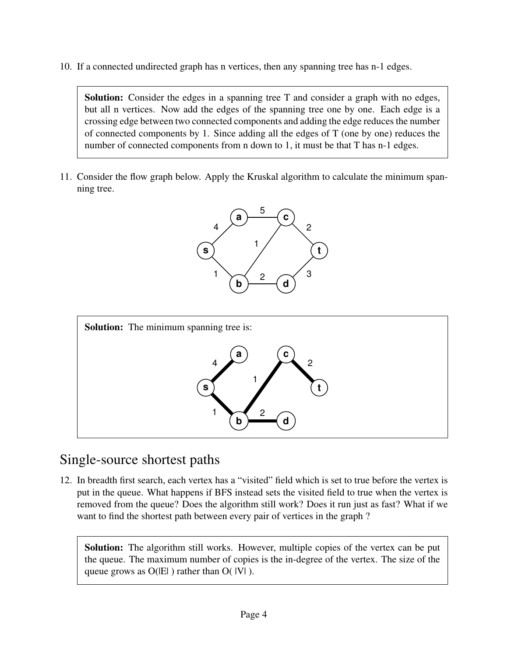10. If a connected undirected graph has n vertices, then any spanning tree has n-1 edges.

Solution: Consider the edges in a spanning tree T and consider a graph with no edges, but all n vertices. Now add the edges of the spanning tree one by one. Each edge is a crossing edge between two connected components and adding the edge reduces the number of connected components by 1. Since adding all the edges of T (one by one) reduces the number of connected components from n down to 1, it must be that T has n-1 edges.

11. Consider the flow graph below. Apply the Kruskal algorithm to calculate the minimum spanning tree.





### Single-source shortest paths

12. In breadth first search, each vertex has a "visited" field which is set to true before the vertex is put in the queue. What happens if BFS instead sets the visited field to true when the vertex is removed from the queue? Does the algorithm still work? Does it run just as fast? What if we want to find the shortest path between every pair of vertices in the graph ?

Solution: The algorithm still works. However, multiple copies of the vertex can be put the queue. The maximum number of copies is the in-degree of the vertex. The size of the queue grows as  $O(|E|)$  rather than  $O(|V|)$ .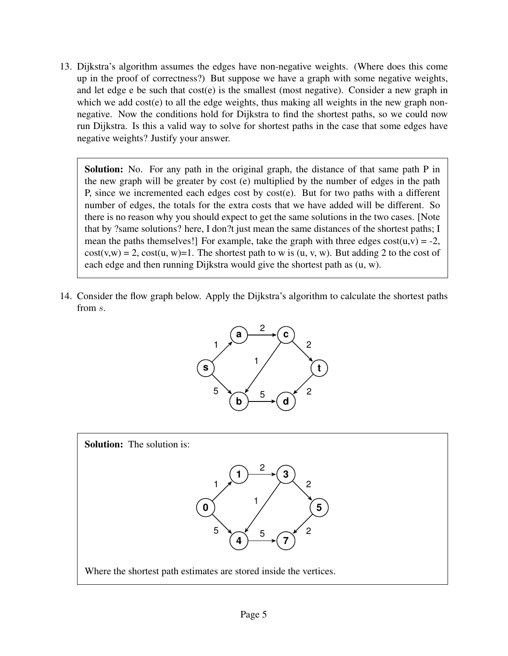13. Dijkstra's algorithm assumes the edges have non-negative weights. (Where does this come up in the proof of correctness?) But suppose we have a graph with some negative weights, and let edge e be such that cost(e) is the smallest (most negative). Consider a new graph in which we add cost(e) to all the edge weights, thus making all weights in the new graph nonnegative. Now the conditions hold for Dijkstra to find the shortest paths, so we could now run Dijkstra. Is this a valid way to solve for shortest paths in the case that some edges have negative weights? Justify your answer.

Solution: No. For any path in the original graph, the distance of that same path P in the new graph will be greater by cost (e) multiplied by the number of edges in the path P, since we incremented each edges cost by cost(e). But for two paths with a different number of edges, the totals for the extra costs that we have added will be different. So there is no reason why you should expect to get the same solutions in the two cases. [Note that by ?same solutions? here, I don?t just mean the same distances of the shortest paths; I mean the paths themselves!] For example, take the graph with three edges  $cost(u,v) = -2$ ,  $cost(v, w) = 2$ ,  $cost(u, w) = 1$ . The shortest path to w is  $(u, v, w)$ . But adding 2 to the cost of each edge and then running Dijkstra would give the shortest path as (u, w).

14. Consider the flow graph below. Apply the Dijkstra's algorithm to calculate the shortest paths from s.



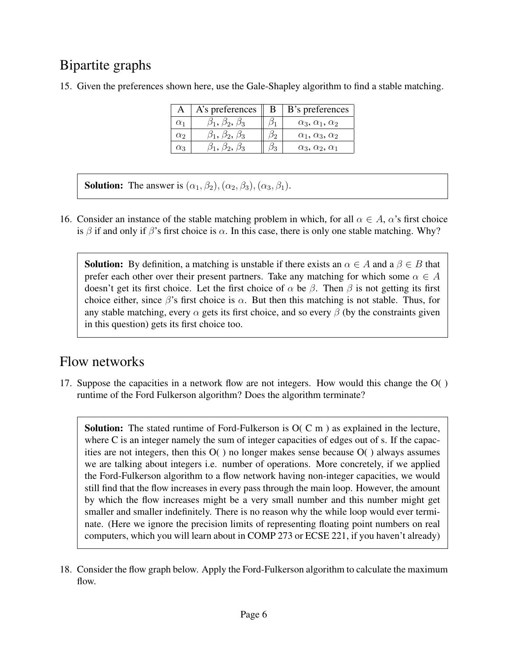# Bipartite graphs

15. Given the preferences shown here, use the Gale-Shapley algorithm to find a stable matching.

|            | A's preferences               | B             | B's preferences                |
|------------|-------------------------------|---------------|--------------------------------|
| $\alpha_1$ | $\beta_1, \beta_2, \beta_3$   | /31           | $\alpha_3, \alpha_1, \alpha_2$ |
| $\alpha$   | $\beta_1,\,\beta_2,\,\beta_3$ | りっ            | $\alpha_1, \alpha_3, \alpha_2$ |
| $\alpha_3$ | $\beta_1, \beta_2, \beta_3$   | $\frac{1}{3}$ | $\alpha_3, \alpha_2, \alpha_1$ |

**Solution:** The answer is  $(\alpha_1, \beta_2), (\alpha_2, \beta_3), (\alpha_3, \beta_1)$ .

16. Consider an instance of the stable matching problem in which, for all  $\alpha \in A$ ,  $\alpha$ 's first choice is  $\beta$  if and only if  $\beta$ 's first choice is  $\alpha$ . In this case, there is only one stable matching. Why?

**Solution:** By definition, a matching is unstable if there exists an  $\alpha \in A$  and a  $\beta \in B$  that prefer each other over their present partners. Take any matching for which some  $\alpha \in A$ doesn't get its first choice. Let the first choice of  $\alpha$  be  $\beta$ . Then  $\beta$  is not getting its first choice either, since  $\beta$ 's first choice is  $\alpha$ . But then this matching is not stable. Thus, for any stable matching, every  $\alpha$  gets its first choice, and so every  $\beta$  (by the constraints given in this question) gets its first choice too.

## Flow networks

17. Suppose the capacities in a network flow are not integers. How would this change the O( ) runtime of the Ford Fulkerson algorithm? Does the algorithm terminate?

Solution: The stated runtime of Ford-Fulkerson is  $O(C \, m)$  as explained in the lecture, where C is an integer namely the sum of integer capacities of edges out of s. If the capacities are not integers, then this  $O($  ) no longer makes sense because  $O($  ) always assumes we are talking about integers i.e. number of operations. More concretely, if we applied the Ford-Fulkerson algorithm to a flow network having non-integer capacities, we would still find that the flow increases in every pass through the main loop. However, the amount by which the flow increases might be a very small number and this number might get smaller and smaller indefinitely. There is no reason why the while loop would ever terminate. (Here we ignore the precision limits of representing floating point numbers on real computers, which you will learn about in COMP 273 or ECSE 221, if you haven't already)

<sup>18.</sup> Consider the flow graph below. Apply the Ford-Fulkerson algorithm to calculate the maximum flow.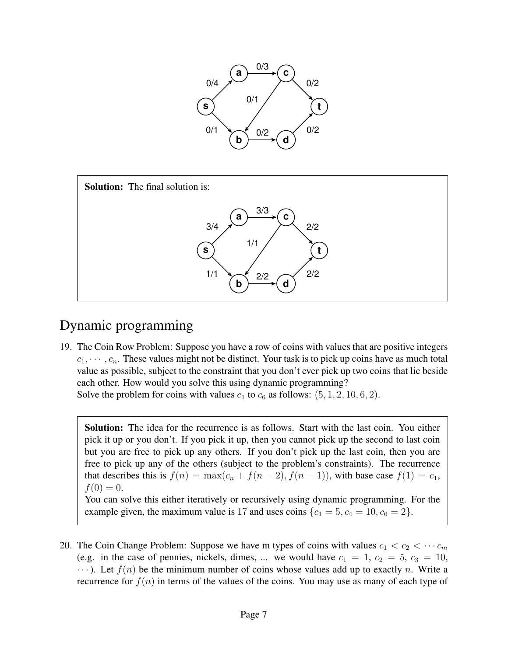



## Dynamic programming

19. The Coin Row Problem: Suppose you have a row of coins with values that are positive integers  $c_1, \dots, c_n$ . These values might not be distinct. Your task is to pick up coins have as much total value as possible, subject to the constraint that you don't ever pick up two coins that lie beside each other. How would you solve this using dynamic programming?

Solve the problem for coins with values  $c_1$  to  $c_6$  as follows:  $(5, 1, 2, 10, 6, 2)$ .

Solution: The idea for the recurrence is as follows. Start with the last coin. You either pick it up or you don't. If you pick it up, then you cannot pick up the second to last coin but you are free to pick up any others. If you don't pick up the last coin, then you are free to pick up any of the others (subject to the problem's constraints). The recurrence that describes this is  $f(n) = \max(c_n + f(n-2), f(n-1))$ , with base case  $f(1) = c_1$ ,  $f(0) = 0.$ 

You can solve this either iteratively or recursively using dynamic programming. For the example given, the maximum value is 17 and uses coins  $\{c_1 = 5, c_4 = 10, c_6 = 2\}$ .

20. The Coin Change Problem: Suppose we have m types of coins with values  $c_1 < c_2 < \cdots c_m$ (e.g. in the case of pennies, nickels, dimes, ... we would have  $c_1 = 1$ ,  $c_2 = 5$ ,  $c_3 = 10$ ,  $\cdots$ ). Let  $f(n)$  be the minimum number of coins whose values add up to exactly n. Write a recurrence for  $f(n)$  in terms of the values of the coins. You may use as many of each type of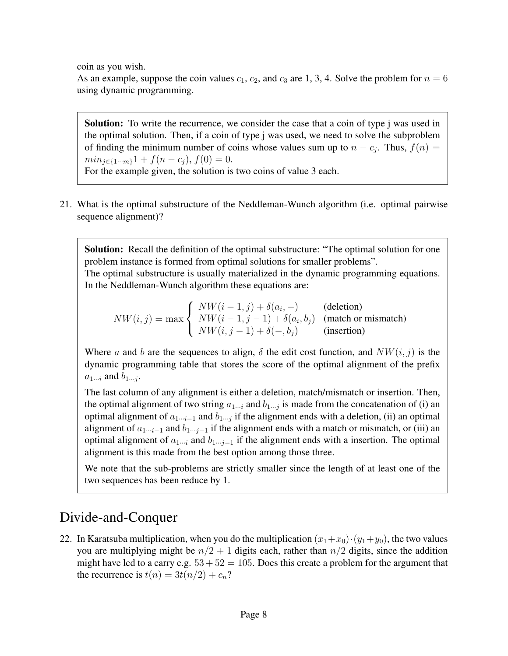coin as you wish.

As an example, suppose the coin values  $c_1$ ,  $c_2$ , and  $c_3$  are 1, 3, 4. Solve the problem for  $n = 6$ using dynamic programming.

Solution: To write the recurrence, we consider the case that a coin of type j was used in the optimal solution. Then, if a coin of type j was used, we need to solve the subproblem of finding the minimum number of coins whose values sum up to  $n - c_j$ . Thus,  $f(n) =$  $min_{i\in\{1\cdots m\}}1 + f(n-c_i), f(0) = 0.$ For the example given, the solution is two coins of value 3 each.

21. What is the optimal substructure of the Neddleman-Wunch algorithm (i.e. optimal pairwise sequence alignment)?

Solution: Recall the definition of the optimal substructure: "The optimal solution for one problem instance is formed from optimal solutions for smaller problems". The optimal substructure is usually materialized in the dynamic programming equations. In the Neddleman-Wunch algorithm these equations are:

 $NW(i, j) = max$  $\sqrt{ }$  $\int$  $\mathcal{L}$  $NW(i-1, j) + \delta(a_i, -)$  (deletion)  $NW(i-1, j-1) + \delta(a_i, b_j)$  (match or mismatch)  $NW(i, j - 1) + \delta(-, b_j)$  (insertion)

Where a and b are the sequences to align,  $\delta$  the edit cost function, and  $NW(i, j)$  is the dynamic programming table that stores the score of the optimal alignment of the prefix  $a_{1\cdots i}$  and  $b_{1\cdots j}$ .

The last column of any alignment is either a deletion, match/mismatch or insertion. Then, the optimal alignment of two string  $a_{1\cdots i}$  and  $b_{1\cdots j}$  is made from the concatenation of (i) an optimal alignment of  $a_{1\cdots i-1}$  and  $b_{1\cdots j}$  if the alignment ends with a deletion, (ii) an optimal alignment of  $a_{1\cdots i-1}$  and  $b_{1\cdots i-1}$  if the alignment ends with a match or mismatch, or (iii) an optimal alignment of  $a_{1\cdots i}$  and  $b_{1\cdots j-1}$  if the alignment ends with a insertion. The optimal alignment is this made from the best option among those three.

We note that the sub-problems are strictly smaller since the length of at least one of the two sequences has been reduce by 1.

## Divide-and-Conquer

22. In Karatsuba multiplication, when you do the multiplication  $(x_1+x_0)\cdot(y_1+y_0)$ , the two values you are multiplying might be  $n/2 + 1$  digits each, rather than  $n/2$  digits, since the addition might have led to a carry e.g.  $53 + 52 = 105$ . Does this create a problem for the argument that the recurrence is  $t(n) = 3t(n/2) + c_n$ ?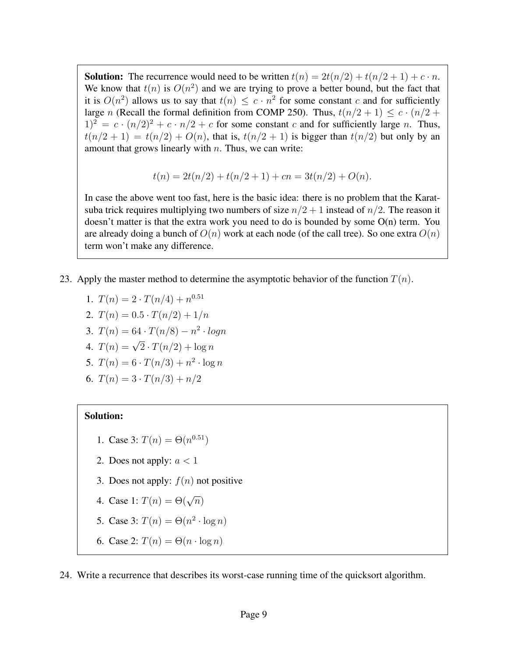**Solution:** The recurrence would need to be written  $t(n) = 2t(n/2) + t(n/2 + 1) + c \cdot n$ . We know that  $t(n)$  is  $O(n^2)$  and we are trying to prove a better bound, but the fact that it is  $O(n^2)$  allows us to say that  $t(n) \leq c \cdot n^2$  for some constant c and for sufficiently large n (Recall the formal definition from COMP 250). Thus,  $t(n/2 + 1) \leq c \cdot (n/2 + 1)$  $1)^2 = c \cdot (n/2)^2 + c \cdot n/2 + c$  for some constant c and for sufficiently large n. Thus,  $t(n/2 + 1) = t(n/2) + O(n)$ , that is,  $t(n/2 + 1)$  is bigger than  $t(n/2)$  but only by an amount that grows linearly with  $n$ . Thus, we can write:

$$
t(n) = 2t(n/2) + t(n/2 + 1) + cn = 3t(n/2) + O(n).
$$

In case the above went too fast, here is the basic idea: there is no problem that the Karatsuba trick requires multiplying two numbers of size  $n/2 + 1$  instead of  $n/2$ . The reason it doesn't matter is that the extra work you need to do is bounded by some O(n) term. You are already doing a bunch of  $O(n)$  work at each node (of the call tree). So one extra  $O(n)$ term won't make any difference.

- 23. Apply the master method to determine the asymptotic behavior of the function  $T(n)$ .
	- 1.  $T(n) = 2 \cdot T(n/4) + n^{0.51}$
	- 2.  $T(n) = 0.5 \cdot T(n/2) + 1/n$
	- 3.  $T(n) = 64 \cdot T(n/8) n^2 \cdot log n$
	- 4.  $T(n) = \sqrt{2} \cdot T(n/2) + \log n$
	- 5.  $T(n) = 6 \cdot T(n/3) + n^2 \cdot \log n$
	- 6.  $T(n) = 3 \cdot T(n/3) + n/2$

#### Solution:

- 1. Case 3:  $T(n) = \Theta(n^{0.51})$
- 2. Does not apply:  $a < 1$
- 3. Does not apply:  $f(n)$  not positive
- 4. Case 1:  $T(n) = \Theta(\sqrt{n})$
- 5. Case 3:  $T(n) = \Theta(n^2 \cdot \log n)$
- 6. Case 2:  $T(n) = \Theta(n \cdot \log n)$
- 24. Write a recurrence that describes its worst-case running time of the quicksort algorithm.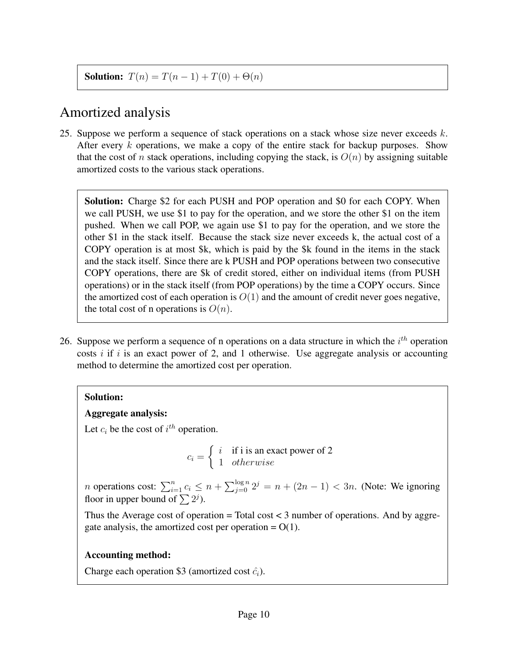**Solution:**  $T(n) = T(n-1) + T(0) + \Theta(n)$ 

#### Amortized analysis

25. Suppose we perform a sequence of stack operations on a stack whose size never exceeds  $k$ . After every  $k$  operations, we make a copy of the entire stack for backup purposes. Show that the cost of n stack operations, including copying the stack, is  $O(n)$  by assigning suitable amortized costs to the various stack operations.

Solution: Charge \$2 for each PUSH and POP operation and \$0 for each COPY. When we call PUSH, we use \$1 to pay for the operation, and we store the other \$1 on the item pushed. When we call POP, we again use \$1 to pay for the operation, and we store the other \$1 in the stack itself. Because the stack size never exceeds k, the actual cost of a COPY operation is at most \$k, which is paid by the \$k found in the items in the stack and the stack itself. Since there are k PUSH and POP operations between two consecutive COPY operations, there are \$k of credit stored, either on individual items (from PUSH operations) or in the stack itself (from POP operations) by the time a COPY occurs. Since the amortized cost of each operation is  $O(1)$  and the amount of credit never goes negative, the total cost of n operations is  $O(n)$ .

26. Suppose we perform a sequence of n operations on a data structure in which the  $i^{th}$  operation costs  $i$  if  $i$  is an exact power of 2, and 1 otherwise. Use aggregate analysis or accounting method to determine the amortized cost per operation.

#### Solution:

#### Aggregate analysis:

Let  $c_i$  be the cost of  $i^{th}$  operation.

$$
c_i = \begin{cases} i & \text{if } i \text{ is an exact power of 2} \\ 1 & otherwise \end{cases}
$$

*n* operations cost:  $\sum_{i=1}^{n} c_i \leq n + \sum_{j=0}^{\log n} 2^j = n + (2n - 1) < 3n$ . (Note: We ignoring floor in upper bound of  $\sum 2^j$ ).

Thus the Average cost of operation  $=$  Total cost  $<$  3 number of operations. And by aggregate analysis, the amortized cost per operation  $= O(1)$ .

#### Accounting method:

Charge each operation \$3 (amortized cost  $\hat{c}_i$ ).